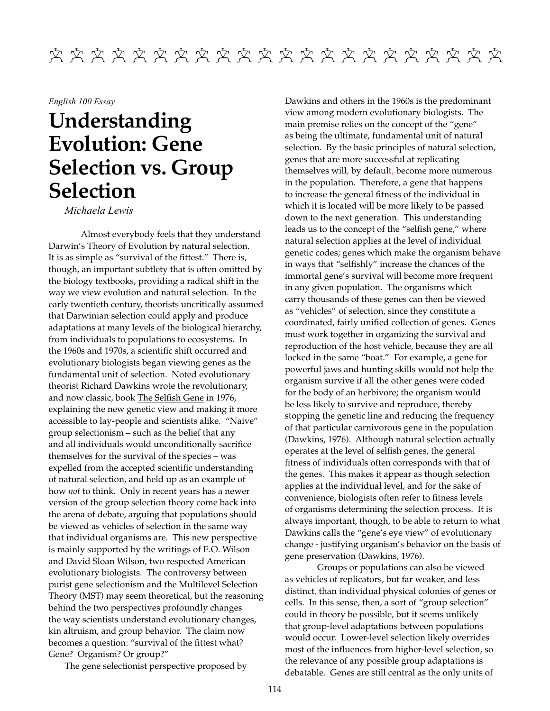## English 100 Essay

## Understanding **Evolution: Gene Selection vs. Group Selection**

Michaela Lewis

Almost everybody feels that they understand Darwin's Theory of Evolution by natural selection. It is as simple as "survival of the fittest." There is, though, an important subtlety that is often omitted by the biology textbooks, providing a radical shift in the way we view evolution and natural selection. In the early twentieth century, theorists uncritically assumed that Darwinian selection could apply and produce adaptations at many levels of the biological hierarchy, from individuals to populations to ecosystems. In the 1960s and 1970s, a scientific shift occurred and evolutionary biologists began viewing genes as the fundamental unit of selection. Noted evolutionary theorist Richard Dawkins wrote the revolutionary, and now classic, book The Selfish Gene in 1976, explaining the new genetic view and making it more accessible to lay-people and scientists alike. "Naive" group selectionism – such as the belief that any and all individuals would unconditionally sacrifice themselves for the survival of the species - was expelled from the accepted scientific understanding of natural selection, and held up as an example of how not to think. Only in recent years has a newer version of the group selection theory come back into the arena of debate, arguing that populations should be viewed as vehicles of selection in the same way that individual organisms are. This new perspective is mainly supported by the writings of E.O. Wilson and David Sloan Wilson, two respected American evolutionary biologists. The controversy between purist gene selectionism and the Multilevel Selection Theory (MST) may seem theoretical, but the reasoning behind the two perspectives profoundly changes the way scientists understand evolutionary changes, kin altruism, and group behavior. The claim now becomes a question: "survival of the fittest what? Gene? Organism? Or group?"

The gene selectionist perspective proposed by

Dawkins and others in the 1960s is the predominant view among modern evolutionary biologists. The main premise relies on the concept of the "gene" as being the ultimate, fundamental unit of natural selection. By the basic principles of natural selection, genes that are more successful at replicating themselves will, by default, become more numerous in the population. Therefore, a gene that happens to increase the general fitness of the individual in which it is located will be more likely to be passed down to the next generation. This understanding leads us to the concept of the "selfish gene," where natural selection applies at the level of individual genetic codes; genes which make the organism behave in ways that "selfishly" increase the chances of the immortal gene's survival will become more frequent in any given population. The organisms which carry thousands of these genes can then be viewed as "vehicles" of selection, since they constitute a coordinated, fairly unified collection of genes. Genes must work together in organizing the survival and reproduction of the host vehicle, because they are all locked in the same "boat." For example, a gene for powerful jaws and hunting skills would not help the organism survive if all the other genes were coded for the body of an herbivore; the organism would be less likely to survive and reproduce, thereby stopping the genetic line and reducing the frequency of that particular carnivorous gene in the population (Dawkins, 1976). Although natural selection actually operates at the level of selfish genes, the general fitness of individuals often corresponds with that of the genes. This makes it appear as though selection applies at the individual level, and for the sake of convenience, biologists often refer to fitness levels of organisms determining the selection process. It is always important, though, to be able to return to what Dawkins calls the "gene's eye view" of evolutionary change - justifying organism's behavior on the basis of gene preservation (Dawkins, 1976).

Groups or populations can also be viewed as vehicles of replicators, but far weaker, and less distinct, than individual physical colonies of genes or cells. In this sense, then, a sort of "group selection" could in theory be possible, but it seems unlikely that group-level adaptations between populations would occur. Lower-level selection likely overrides most of the influences from higher-level selection, so the relevance of any possible group adaptations is debatable. Genes are still central as the only units of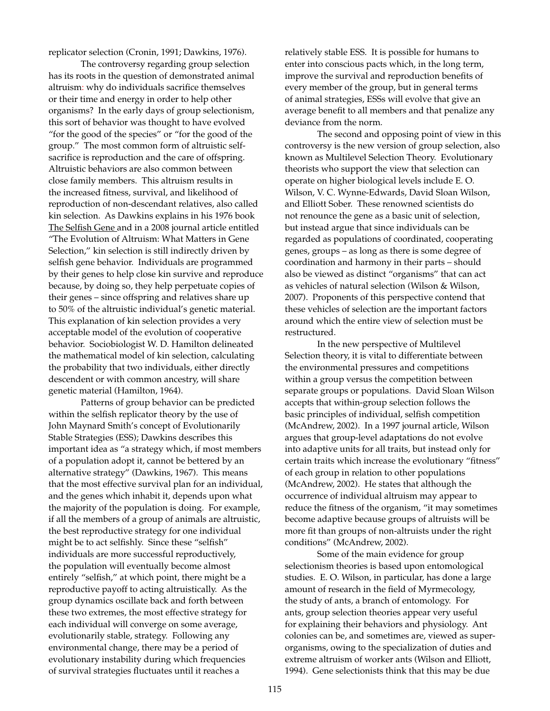replicator selection (Cronin, 1991; Dawkins, 1976).

The controversy regarding group selection has its roots in the question of demonstrated animal altruism: why do individuals sacrifice themselves or their time and energy in order to help other organisms? In the early days of group selectionism, this sort of behavior was thought to have evolved "for the good of the species" or "for the good of the group." The most common form of altruistic selfsacrifice is reproduction and the care of offspring. Altruistic behaviors are also common between close family members. This altruism results in the increased fitness, survival, and likelihood of reproduction of non-descendant relatives, also called kin selection. As Dawkins explains in his 1976 book The Selfish Gene and in a 2008 journal article entitled "The Evolution of Altruism: What Matters in Gene Selection," kin selection is still indirectly driven by selfish gene behavior. Individuals are programmed by their genes to help close kin survive and reproduce because, by doing so, they help perpetuate copies of their genes – since offspring and relatives share up to 50% of the altruistic individual's genetic material. This explanation of kin selection provides a very acceptable model of the evolution of cooperative behavior. Sociobiologist W. D. Hamilton delineated the mathematical model of kin selection, calculating the probability that two individuals, either directly descendent or with common ancestry, will share genetic material (Hamilton, 1964).

Patterns of group behavior can be predicted within the selfish replicator theory by the use of John Maynard Smith's concept of Evolutionarily Stable Strategies (ESS); Dawkins describes this important idea as "a strategy which, if most members of a population adopt it, cannot be bettered by an alternative strategy" (Dawkins, 1967). This means that the most effective survival plan for an individual, and the genes which inhabit it, depends upon what the majority of the population is doing. For example, if all the members of a group of animals are altruistic, the best reproductive strategy for one individual might be to act selfishly. Since these "selfish" individuals are more successful reproductively, the population will eventually become almost entirely "selfish," at which point, there might be a reproductive payoff to acting altruistically. As the group dynamics oscillate back and forth between these two extremes, the most effective strategy for each individual will converge on some average, evolutionarily stable, strategy. Following any environmental change, there may be a period of evolutionary instability during which frequencies of survival strategies fluctuates until it reaches a

relatively stable ESS. It is possible for humans to enter into conscious pacts which, in the long term, improve the survival and reproduction benefits of every member of the group, but in general terms of animal strategies, ESSs will evolve that give an average benefit to all members and that penalize any deviance from the norm.

The second and opposing point of view in this controversy is the new version of group selection, also known as Multilevel Selection Theory. Evolutionary theorists who support the view that selection can operate on higher biological levels include E.O. Wilson, V. C. Wynne-Edwards, David Sloan Wilson, and Elliott Sober. These renowned scientists do not renounce the gene as a basic unit of selection, but instead argue that since individuals can be regarded as populations of coordinated, cooperating genes, groups – as long as there is some degree of coordination and harmony in their parts - should also be viewed as distinct "organisms" that can act as vehicles of natural selection (Wilson & Wilson, 2007). Proponents of this perspective contend that these vehicles of selection are the important factors around which the entire view of selection must be restructured.

In the new perspective of Multilevel Selection theory, it is vital to differentiate between the environmental pressures and competitions within a group versus the competition between separate groups or populations. David Sloan Wilson accepts that within-group selection follows the basic principles of individual, selfish competition (McAndrew, 2002). In a 1997 journal article, Wilson argues that group-level adaptations do not evolve into adaptive units for all traits, but instead only for certain traits which increase the evolutionary "fitness" of each group in relation to other populations (McAndrew, 2002). He states that although the occurrence of individual altruism may appear to reduce the fitness of the organism, "it may sometimes become adaptive because groups of altruists will be more fit than groups of non-altruists under the right conditions" (McAndrew, 2002).

Some of the main evidence for group selectionism theories is based upon entomological studies. E.O. Wilson, in particular, has done a large amount of research in the field of Myrmecology, the study of ants, a branch of entomology. For ants, group selection theories appear very useful for explaining their behaviors and physiology. Ant colonies can be, and sometimes are, viewed as superorganisms, owing to the specialization of duties and extreme altruism of worker ants (Wilson and Elliott, 1994). Gene selectionists think that this may be due